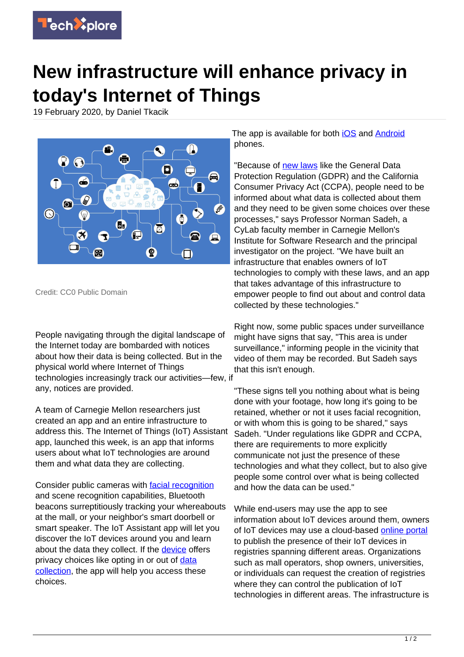

## **New infrastructure will enhance privacy in today's Internet of Things**

19 February 2020, by Daniel Tkacik



Credit: CC0 Public Domain

People navigating through the digital landscape of the Internet today are bombarded with notices about how their data is being collected. But in the physical world where Internet of Things technologies increasingly track our activities—few, if any, notices are provided.

A team of Carnegie Mellon researchers just created an app and an entire infrastructure to address this. The Internet of Things (IoT) Assistant app, launched this week, is an app that informs users about what IoT technologies are around them and what data they are collecting.

Consider public cameras with [facial recognition](https://techxplore.com/tags/facial+recognition/) and scene recognition capabilities, Bluetooth beacons surreptitiously tracking your whereabouts at the mall, or your neighbor's smart doorbell or smart speaker. The IoT Assistant app will let you discover the IoT devices around you and learn about the data they collect. If the [device](https://techxplore.com/tags/device/) offers privacy choices like opting in or out of [data](https://techxplore.com/tags/data+collection/) [collection](https://techxplore.com/tags/data+collection/), the app will help you access these choices.

The app is available for both [iOS](https://apps.apple.com/us/app/iot-assistant/id1491361441?ls=1) and [Android](https://play.google.com/store/apps/details?id=io.iotprivacy.iotassistant) phones.

"Because of [new laws](https://techxplore.com/tags/new+laws/) like the General Data Protection Regulation (GDPR) and the California Consumer Privacy Act (CCPA), people need to be informed about what data is collected about them and they need to be given some choices over these processes," says Professor Norman Sadeh, a CyLab faculty member in Carnegie Mellon's Institute for Software Research and the principal investigator on the project. "We have built an infrastructure that enables owners of IoT technologies to comply with these laws, and an app that takes advantage of this infrastructure to empower people to find out about and control data collected by these technologies."

Right now, some public spaces under surveillance might have signs that say, "This area is under surveillance," informing people in the vicinity that video of them may be recorded. But Sadeh says that this isn't enough.

"These signs tell you nothing about what is being done with your footage, how long it's going to be retained, whether or not it uses facial recognition, or with whom this is going to be shared," says Sadeh. "Under regulations like GDPR and CCPA, there are requirements to more explicitly communicate not just the presence of these technologies and what they collect, but to also give people some control over what is being collected and how the data can be used."

While end-users may use the app to see information about IoT devices around them, owners of IoT devices may use a cloud-based [online portal](https://www.iotprivacy.io/) to publish the presence of their IoT devices in registries spanning different areas. Organizations such as mall operators, shop owners, universities, or individuals can request the creation of registries where they can control the publication of IoT technologies in different areas. The infrastructure is